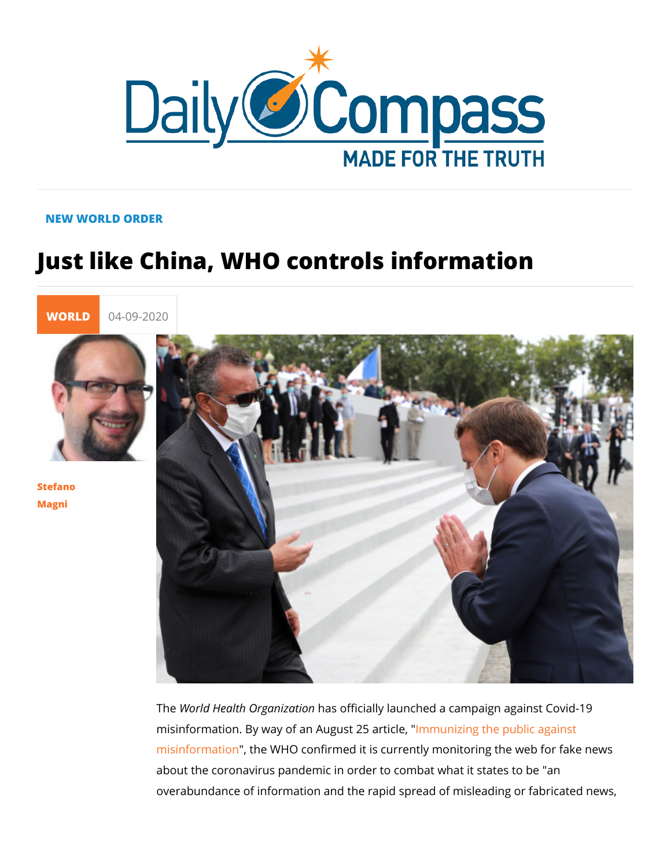## NEW WORLD ORDER

## Just like China, WHO controls informations

[WORL](https://newdailycompass.com/en/world)I 04-09-2020

[Stefan](/en/stefano-magni)o [Magn](/en/stefano-magni)i

> The World Health Organaisz antificially launched a campaign against misinformation. By way of an Aulgnumstur 2istiangtitchle, public against [misinforma](https://www.who.int/news-room/feature-stories/detail/immunizing-the-public-against-misinformation)tione WHO confirmed it is currently monitoring the v about the coronavirus pandemic in order to combat what it stat overabundance of information and the rapid spread of misleadi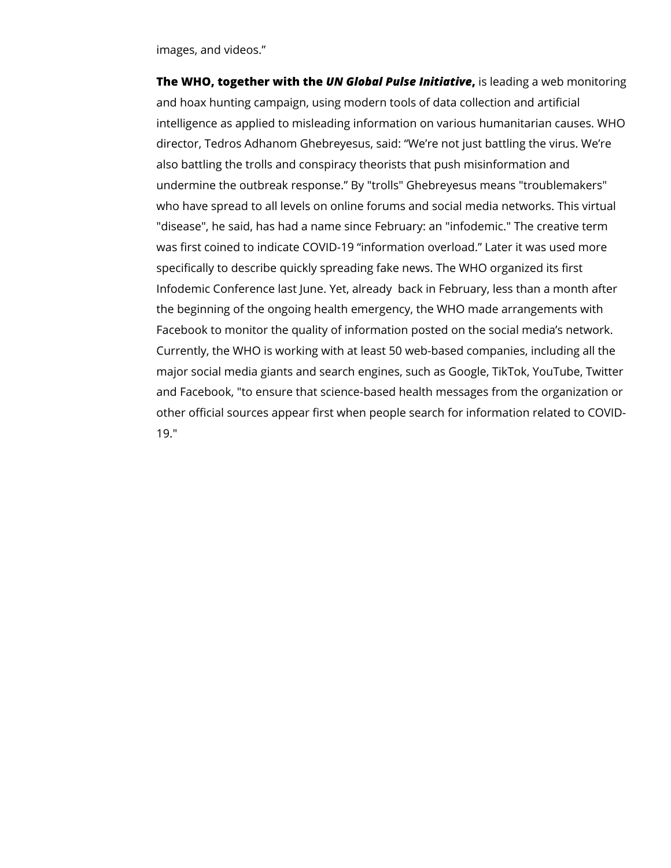images, and videos."

**The WHO, together with the** *UN Global Pulse Initiative***,** is leading a web monitoring and hoax hunting campaign, using modern tools of data collection and artificial intelligence as applied to misleading information on various humanitarian causes. WHO director, Tedros Adhanom Ghebreyesus, said: "We're not just battling the virus. We're also battling the trolls and conspiracy theorists that push misinformation and undermine the outbreak response." By "trolls" Ghebreyesus means "troublemakers" who have spread to all levels on online forums and social media networks. This virtual "disease", he said, has had a name since February: an "infodemic." The creative term was first coined to indicate COVID-19 "information overload." Later it was used more specifically to describe quickly spreading fake news. The WHO organized its first Infodemic Conference last June. Yet, already back in February, less than a month after the beginning of the ongoing health emergency, the WHO made arrangements with Facebook to monitor the quality of information posted on the social media's network. Currently, the WHO is working with at least 50 web-based companies, including all the major social media giants and search engines, such as Google, TikTok, YouTube, Twitter and Facebook, "to ensure that science-based health messages from the organization or other official sources appear first when people search for information related to COVID-19."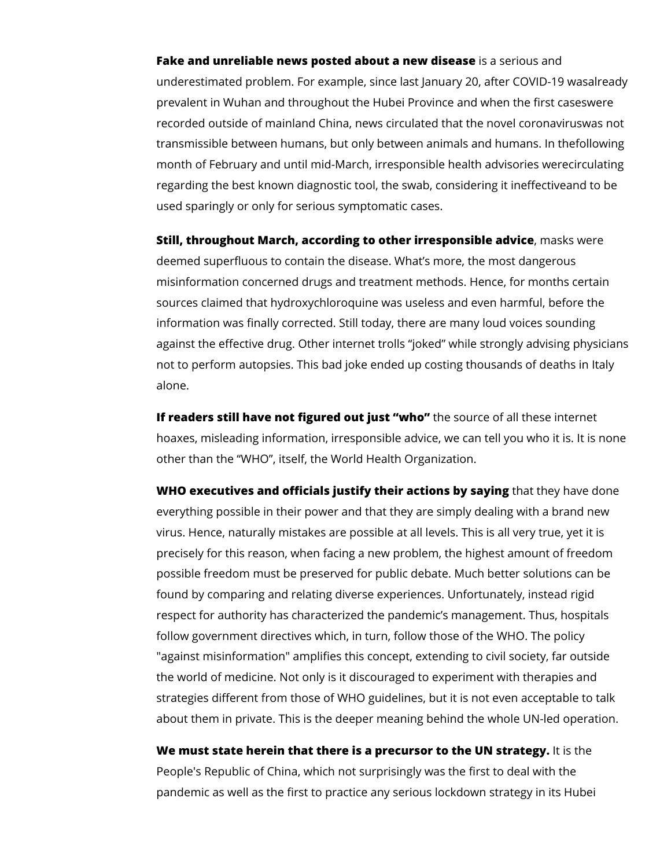**Fake and unreliable news posted about a new disease** is a serious and underestimated problem. For example, since last January 20, after COVID-19 wasalready prevalent in Wuhan and throughout the Hubei Province and when the first caseswere recorded outside of mainland China, news circulated that the novel coronaviruswas not transmissible between humans, but only between animals and humans. In thefollowing month of February and until mid-March, irresponsible health advisories werecirculating regarding the best known diagnostic tool, the swab, considering it ineffectiveand to be used sparingly or only for serious symptomatic cases.

**Still, throughout March, according to other irresponsible advice**, masks were deemed superfluous to contain the disease. What's more, the most dangerous misinformation concerned drugs and treatment methods. Hence, for months certain sources claimed that hydroxychloroquine was useless and even harmful, before the information was finally corrected. Still today, there are many loud voices sounding against the effective drug. Other internet trolls "joked" while strongly advising physicians not to perform autopsies. This bad joke ended up costing thousands of deaths in Italy alone.

**If readers still have not figured out just "who"** the source of all these internet hoaxes, misleading information, irresponsible advice, we can tell you who it is. It is none other than the "WHO", itself, the World Health Organization.

**WHO executives and officials justify their actions by saying** that they have done everything possible in their power and that they are simply dealing with a brand new virus. Hence, naturally mistakes are possible at all levels. This is all very true, yet it is precisely for this reason, when facing a new problem, the highest amount of freedom possible freedom must be preserved for public debate. Much better solutions can be found by comparing and relating diverse experiences. Unfortunately, instead rigid respect for authority has characterized the pandemic's management. Thus, hospitals follow government directives which, in turn, follow those of the WHO. The policy "against misinformation" amplifies this concept, extending to civil society, far outside the world of medicine. Not only is it discouraged to experiment with therapies and strategies different from those of WHO guidelines, but it is not even acceptable to talk about them in private. This is the deeper meaning behind the whole UN-led operation.

**We must state herein that there is a precursor to the UN strategy.** It is the People's Republic of China, which not surprisingly was the first to deal with the pandemic as well as the first to practice any serious lockdown strategy in its Hubei